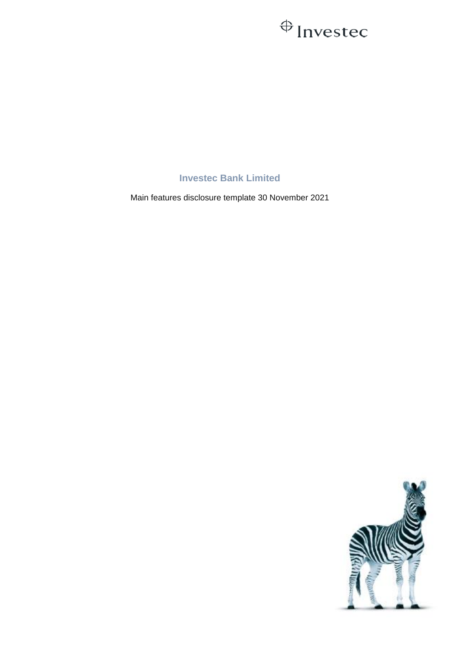## $\bigoplus$  Investec

## **Investec Bank Limited**

Main features disclosure template 30 November 2021

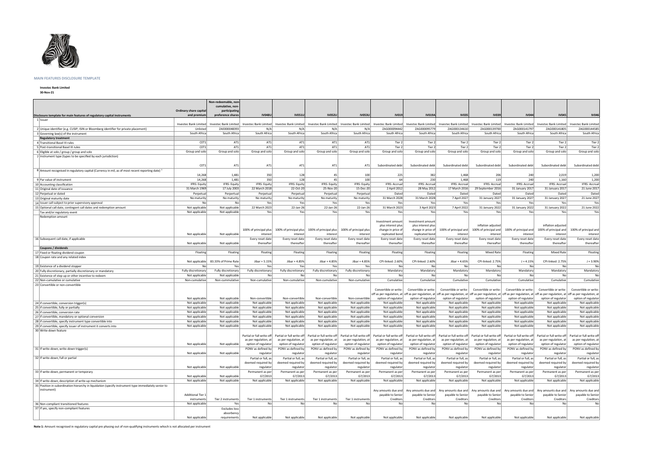

## **MAIN FEATURES DISCLOSURE TEMPLATE**

**Investec Bank Limited**

**30-Nov-21**

|                                                                                                            |                               | Non-redeemable, non-             |                        |                           |                        |                        |                       |                                                                       |                       |                       |                       |                                                                                                                                                                                                                                                      |                       |
|------------------------------------------------------------------------------------------------------------|-------------------------------|----------------------------------|------------------------|---------------------------|------------------------|------------------------|-----------------------|-----------------------------------------------------------------------|-----------------------|-----------------------|-----------------------|------------------------------------------------------------------------------------------------------------------------------------------------------------------------------------------------------------------------------------------------------|-----------------------|
|                                                                                                            | <b>Ordinary share capital</b> | cumulative, non<br>participating |                        |                           |                        |                        |                       |                                                                       |                       |                       |                       |                                                                                                                                                                                                                                                      |                       |
| Disclosure template for main features of regulatory capital instruments                                    | and premium                   | preference shares                | <b>IV048U</b>          | <b>IV051U</b>             | <b>IV052U</b>          | <b>IV053U</b>          | <b>IV019</b>          | <b>IV019A</b>                                                         | <b>IV035</b>          | <b>IV039</b>          | <b>IV044</b>          | <b>IV045</b>                                                                                                                                                                                                                                         | <b>IV046</b>          |
| 1 Issuer                                                                                                   |                               |                                  |                        |                           |                        |                        |                       |                                                                       |                       |                       |                       |                                                                                                                                                                                                                                                      |                       |
|                                                                                                            | <b>Investec Bank Limited</b>  | Investec Bank Limited            | Investec Bank Limited  | Investec Bank Limited     | Investec Bank Limited  |                        |                       | Investec Bank Limited   Investec Bank Limited   Investec Bank Limited | Investec Bank Limited | Investec Bank Limited | Investec Bank Limited | Investec Bank Limited                                                                                                                                                                                                                                | Investec Bank Limited |
| 2 Unique identifier (e.g. CUSIP, ISIN or Bloomberg identifier for private placement)                       | Unlisted                      | ZAE000048393                     | N/A                    | N/A                       | N/A                    | N/A                    | ZAG000094442          | ZAG000095779                                                          | ZAG000134610          | ZAG000139700          | ZAG000141797          | ZAG000141805                                                                                                                                                                                                                                         | ZAG000144585          |
| 3 Governing law(s) of the instrument                                                                       | South Africa                  | South Africa                     | South Africa           | South Africa              | South Africa           | South Africa           | South Africa          | South Africa                                                          | South Africa          | South Africa          | South Africa          | South Africa                                                                                                                                                                                                                                         | South Africa          |
| <b>Regulatory treatment</b>                                                                                |                               |                                  |                        |                           |                        |                        |                       |                                                                       |                       |                       |                       |                                                                                                                                                                                                                                                      |                       |
| 4 Transitional Basel III rules                                                                             | CET1                          | AT1                              | AT1                    | AT1                       | AT1                    | AT1                    | Tier 2                | Tier 2                                                                | Tier 2                | Tier 2                | Tier 2                | Tier 2                                                                                                                                                                                                                                               | Tier 2                |
| 5 Post-transitional Basel III rules                                                                        | CET1                          | AT1                              | AT1                    | AT1                       | AT1                    | AT1                    | Tier 2                | Tier 2                                                                | Tier 2                | Tier 2                | Tier 2                | Tier 2                                                                                                                                                                                                                                               | Tier 2                |
| 6 Eligible at solo / group / group and solo                                                                | Group and solo                | Group and solo                   | Group and solo         | Group and solo            | Group and solo         | Group and solo         | Group and solo        | Group and solo                                                        | Group and solo        | Group and solo        | Group and solo        | Group and solo                                                                                                                                                                                                                                       | Group and solo        |
| 7 Instrument type (types to be specified by each jurisdiction)                                             |                               |                                  |                        |                           |                        |                        |                       |                                                                       |                       |                       |                       |                                                                                                                                                                                                                                                      |                       |
|                                                                                                            |                               |                                  |                        |                           |                        |                        |                       |                                                                       |                       |                       |                       |                                                                                                                                                                                                                                                      |                       |
|                                                                                                            | CET1                          | AT1                              | AT1                    | AT1                       | AT1                    | AT1                    | Subordinated debt     | Subordinated debt                                                     | Subordinated debt     | Subordinated debt     | Subordinated debt     | Subordinated debt                                                                                                                                                                                                                                    | Subordinated debt     |
| 8 Amount recognised in regulatory capital (Currency in mil, as of most recent reporting date) <sup>1</sup> |                               |                                  |                        |                           |                        |                        |                       |                                                                       |                       |                       |                       |                                                                                                                                                                                                                                                      |                       |
|                                                                                                            | 14,268                        | 1,481                            | 350                    | 128                       |                        | 100                    | 225                   | 382                                                                   | 1.468                 | 206                   | 240                   | 2,019                                                                                                                                                                                                                                                | 1,200                 |
| 9   Par value of instrument                                                                                | 14,268                        | 1,481                            | 350                    | 128                       | 45                     | 100                    | 64                    | 230                                                                   | 1,468                 | 119                   | 240                   | 1,160                                                                                                                                                                                                                                                | 1,200                 |
| 10 Accounting classification                                                                               | <b>IFRS: Equity</b>           | IFRS: Equity                     | IFRS: Equity           | <b>IFRS: Equity</b>       | IFRS: Equity           | IFRS: Equity           | <b>IFRS: Accrual</b>  | <b>IFRS: Accrual</b>                                                  | <b>IFRS: Accrual</b>  | <b>IFRS: Accrual</b>  | IFRS: Accrual         | <b>IFRS: Accrual</b>                                                                                                                                                                                                                                 | <b>IFRS: Accrual</b>  |
| 11 Original date of issuance                                                                               | 31 March 1969                 | 17 July 2003                     | 22 March 2018          | 22-Oct-20                 | 25-Nov-20              | 15-Dec-20              | 2 April 2012          | 28 May 2012                                                           | 17 March 2016         | 29 September 2016     | 31 January 2017       | 31 January 2017                                                                                                                                                                                                                                      | 21 June 2017          |
| 12 Perpetual or dated                                                                                      | Perpetual                     | Perpertual                       | Perpetual              | Perpetual                 | Perpetual              | Perpetual              | Dated                 | Dated                                                                 | Dated                 | Dated                 | Dated                 | Dated                                                                                                                                                                                                                                                | Dated                 |
| 13 Original maturity date                                                                                  | No maturity                   | No maturity                      | No maturity            | No maturity               | No maturity            | No maturity            | 31 March 2028         | 31 March 2028                                                         | 7 April 2027          | 31 January 2027       | 31 January 2027       | 31 January 2027                                                                                                                                                                                                                                      | 21 June 2027          |
| 14 Issuer call subject to prior supervisory approval                                                       | No                            | Nol                              | Yes                    | Yes                       | Yes                    | Yes                    | Yes                   | Yes                                                                   | Yes                   | Yes                   | Yesl                  | Yes                                                                                                                                                                                                                                                  | Yes                   |
| 15 Optional call date, contingent call dates and redemption amount                                         | Not applicable                | Not applicable                   | 22 March 2023          | 22-Jan-26                 | 22-Jan-26              | 22-Jan-26              | 31 March 2023         | 3 April 2023                                                          | 7 April 2022          | 31 January 2022       | 31 January 2022       | 31 January 2022                                                                                                                                                                                                                                      | 21 June 2022          |
| Tax and/or regulatory event                                                                                | Not applicable                | Not applicable                   | Yes                    | Yes                       | Yes                    | Yes                    | Yes                   | Yes                                                                   | Yes                   | Yes                   | Yes                   | Yes                                                                                                                                                                                                                                                  | Yes                   |
| Redemption amount                                                                                          |                               |                                  |                        |                           |                        |                        |                       |                                                                       |                       |                       |                       |                                                                                                                                                                                                                                                      |                       |
|                                                                                                            |                               |                                  |                        |                           |                        |                        | Investment amount     | Investment amount                                                     |                       |                       |                       |                                                                                                                                                                                                                                                      |                       |
|                                                                                                            |                               |                                  |                        |                           |                        |                        | plus interest plus    | plus interest plus                                                    |                       | inflation adiusted    |                       | inflation adjusted                                                                                                                                                                                                                                   |                       |
|                                                                                                            |                               |                                  | 100% of principal plus | 100% of principal plus    | 100% of principal plus | 100% of principal plus | change in price of    | change in price of                                                    | 100% of principal and | 100% of principal and | 100% of principal and | 100% of principal and                                                                                                                                                                                                                                | 100% of principal and |
|                                                                                                            | Not applicable                | Not applicable                   | interest               | interest                  | interest               | interest               | replicated bond       | replicated bond                                                       | interest              | interest              | interest              | interest                                                                                                                                                                                                                                             | interest              |
| 16 Subsequent call date, if applicable                                                                     |                               |                                  | Every reset date       | Every reset date          | Every reset date       | Every reset date       | Every reset date      | Every reset date                                                      | Every reset date      | Every reset date      | Every reset date      | Every reset date                                                                                                                                                                                                                                     | Every reset date      |
|                                                                                                            | Not applicable                | Not applicable                   | thereafter             | thereafter                | thereafter             | thereafter             | thereafter            | thereafter                                                            | thereafter            | thereafter            | thereafter            | thereafter                                                                                                                                                                                                                                           | thereafter            |
| Coupons / dividends                                                                                        |                               |                                  |                        |                           |                        |                        |                       |                                                                       |                       |                       |                       |                                                                                                                                                                                                                                                      |                       |
| 17 Fixed or floating dividend coupon                                                                       | Floating                      | Floating                         | Floating               | Floating                  | Floating               | Floating               | Floating              | Floating                                                              | Floating              | <b>Mixed Rate</b>     | Floating              | <b>Mixed Rate</b>                                                                                                                                                                                                                                    | Floating              |
| 18 Coupon rate and any related index                                                                       |                               |                                  |                        |                           |                        |                        |                       |                                                                       |                       |                       |                       |                                                                                                                                                                                                                                                      |                       |
|                                                                                                            | Not applicable                | 83.33% of Prime Rate             | Jibar + 5.15%          | Jibar + 4.85%             | Jibar + 4.85%          | Jibar + 4.85%          | CPI-linked: 2.60%     | CPI-linked: 2.60%                                                     | Jibar + 4.65%         | CPI-linked: 2.75%     | $J + 4.15%$           | CPI-linked: 2.75%                                                                                                                                                                                                                                    | $J + 3.90%$           |
| 19 Existence of a dividend stopper                                                                         | No                            | Yes                              | Yes                    | Yes                       | Yes                    | Yes                    | No                    | No l                                                                  | Nol                   | No                    | No                    | No                                                                                                                                                                                                                                                   | No                    |
| 20 Fully discretionary, partially discretionary or mandatory                                               | Fully discretionary           | Fully discretionary              | Fully discretionary    | Fully discretionary<br>No | Fully discretionary    | Fully discretionary    | Mandatory             | Mandatory                                                             | Mandatory<br>No       | Mandatory             | Mandatory             | Mandatory                                                                                                                                                                                                                                            | Mandatory             |
| 21 Existence of step up or other incentive to redeem                                                       | Not applicable                | Not applicable                   | No                     |                           |                        | No                     | No                    | No l                                                                  |                       | No                    | No                    | No                                                                                                                                                                                                                                                   | No                    |
| 22 Non-cumulative or cumulative                                                                            | Non-cumulative                | Non-cummulative                  | Non-cumulative         | Non-cumulative            | Non-cumulative         | Non-cumulative         | Cumulative            | Cumulative                                                            | Cumulative            | Cumulative            | Cumulative            | Cumulative                                                                                                                                                                                                                                           | Cumulative            |
| 23 Convertible or non-convertible                                                                          |                               |                                  |                        |                           |                        |                        |                       |                                                                       |                       |                       |                       |                                                                                                                                                                                                                                                      |                       |
|                                                                                                            |                               |                                  |                        |                           |                        |                        | Convertible or write- | Convertible or write-                                                 | Convertible or write- | Convertible or write- | Convertible or write- | Convertible or write-                                                                                                                                                                                                                                | Convertible or write- |
|                                                                                                            | Not applicable                | Not applicable                   | Non-convertible        | Non-convertible           | Non-convertible        | Non-convertible        | option of regulator   | option of regulator                                                   | option of regulator   | option of regulator   | option of regulator   | off as per regulation, at off as per regulation, at off as per regulation, at off as per regulation, at off as per regulation, at off as per regulation, at off as per regulation, at off as per regulation, at off as per re<br>option of regulator | option of regulator   |
| 24 if convertible, conversion trigger(s)                                                                   | Not applicable                | Not applicable                   | Not applicable         | Not applicable            | Not applicable         | Not applicable         | Not applicable        | Not applicable                                                        | Not applicable        | Not applicable        | Not applicable        | Not applicable                                                                                                                                                                                                                                       | Not applicable        |
| 25 lif convertible, fully or partially                                                                     | Not applicable                | Not applicable                   | Not applicable         | Not applicable            | Not applicable         | Not applicable         | Not applicable        | Not applicable                                                        | Not applicable        | Not applicable        | Not applicable        | Not applicable                                                                                                                                                                                                                                       | Not applicable        |
| 26 if convertible, conversion rate                                                                         | Not applicable                | Not applicable                   | Not applicable         | Not applicable            | Not applicable         | Not applicable         | Not applicable        | Not applicable                                                        | Not applicable        | Not applicable        | Not applicable        | Not applicable                                                                                                                                                                                                                                       | Not applicable        |
| 27 if convertible, mandatory or optional conversion                                                        | Not applicable                | Not applicable                   | Not applicable         | Not applicable            | Not applicable         | Not applicable         | Not applicable        | Not applicable                                                        | Not applicable        | Not applicable        | Not applicable        | Not applicable                                                                                                                                                                                                                                       | Not applicable        |
| 28 if convertible, specify instrument type convertible into                                                | Not applicable                | Not applicable                   | Not applicable         | Not applicable            | Not applicable         | Not applicable         | Not applicable        | Not applicable                                                        | Not applicable        | Not applicable        | Not applicable        | Not applicable                                                                                                                                                                                                                                       | Not applicable        |
| 29 if convertible, specify issuer of instrument it converts into                                           | Not applicable                | Not applicable                   | Not applicable         | Not applicable            | Not applicable         | Not applicable         | Not applicable        | Not applicable                                                        | Not applicable        | Not applicable        | Not applicable        | Not applicable                                                                                                                                                                                                                                       | Not applicable        |
| 30 Write-down feature                                                                                      |                               |                                  |                        |                           |                        |                        |                       |                                                                       |                       |                       |                       |                                                                                                                                                                                                                                                      |                       |
|                                                                                                            |                               |                                  |                        |                           |                        |                        |                       |                                                                       |                       |                       |                       | Partial or full write-off Partial or full write-off Partial or full write-off Partial or full write-off Partial or full write-off Partial or full write-off Partial or full write-off Partial or full write-off Partial or ful                       |                       |
|                                                                                                            |                               |                                  | as per regulation, at  | as per regulation, at     | as per regulation, at  | as per regulation, at  | as per regulation, at | as per regulation, at                                                 | as per regulation, at | as per regulation, at | as per regulation, at | as per regulation, at                                                                                                                                                                                                                                | as per regulation, at |
|                                                                                                            | Not applicable                | Not applicable                   | option of regulator    | option of regulator       | option of regulator    | option of regulator    | option of regulator   | option of regulator                                                   | option of regulator   | option of regulator   | option of regulator   | option of regulator                                                                                                                                                                                                                                  | option of regulator   |
| 31 If write-down, write-down trigger(s)                                                                    |                               |                                  | PONV as defined by     | PONV as defined by        | PONV as defined by     | PONV as defined by     | PONV as defined by    | PONV as defined by                                                    | PONV as defined by    | PONV as defined by    | PONV as defined by    | PONV as defined by                                                                                                                                                                                                                                   | PONV as defined by    |
|                                                                                                            | Not applicable                | Not applicable                   | regulator              | regulator                 | regulator              | regulator              | regulator             | regulator                                                             | regulator             | regulator             | regulator             | regulator                                                                                                                                                                                                                                            | regulator             |
| 32 If write-down, full or partial                                                                          |                               |                                  | Partial or full, as    | Partial or full, as       | Partial or full, as    | Partial or full, as    | Partial or full, as   | Partial or full, as                                                   | Partial or full, as   | Partial or full, as   | Partial or full, as   | Partial or full, as                                                                                                                                                                                                                                  | Partial or full, as   |
|                                                                                                            |                               |                                  | deemed required by     | deemed required by        | deemed required by     | deemed required by     | deemed required by    | deemed required by                                                    | deemed required by    | deemed required by    | deemed required by    | deemed required by                                                                                                                                                                                                                                   | deemed required by    |
|                                                                                                            | Not applicable                | Not applicable                   | regulator              | regulator                 | regulator              | regulator              | regulator             | regulator                                                             | regulator             | regulator             | regulator             | regulator                                                                                                                                                                                                                                            | regulator             |
| 33 If write-down, permanent or temporary                                                                   |                               |                                  | Permanent as per       | Permanent as per          | Permanent as per       | Permanent as per       | Permanent as per      | Permanent as per                                                      | Permanent as per      | Permanent as per      | Permanent as per      | Permanent as per                                                                                                                                                                                                                                     | Permanent as per      |
|                                                                                                            | Not applicable                | Not applicable                   | G7/2013                | G7/2013                   | G7/2013                | G7/2013                | G7/2013               | G7/2013                                                               | G7/2013               | G7/2013               | G7/2013               | G7/2013                                                                                                                                                                                                                                              | G7/2013               |
| 34 If write-down, description of write-up mechanism                                                        | Not applicable                | Not applicable                   | Not applicable         | Not applicable            | Not applicable         | Not applicable         | Not applicable        | Not applicable                                                        | Not applicable        | Not applicable        | Not applicable        | Not applicable                                                                                                                                                                                                                                       | Not applicable        |
| 35 Position in subordination hierarchy in liquidation (specify instrument type immediately senior to       |                               |                                  |                        |                           |                        |                        |                       |                                                                       |                       |                       |                       |                                                                                                                                                                                                                                                      |                       |
| (instrument)                                                                                               |                               |                                  |                        |                           |                        |                        |                       | Any amounts due and Any amounts due and                               | Any amounts due and   | Any amounts due and   |                       | Any amounts due and   Any amounts due and   Any amounts due and                                                                                                                                                                                      |                       |
|                                                                                                            | <b>Additional Tier 1</b>      |                                  |                        |                           |                        |                        | payable to Senior     | payable to Senior                                                     | payable to Senior     | payable to Senior     | payable to Senior     | payable to Senior                                                                                                                                                                                                                                    | payable to Senior     |
|                                                                                                            | instruments                   | Tier 2 instruments               | Tier 1 instruments     | Tier 1 instruments        | Tier 1 instruments     | Tier 1 instruments     | Creditors             | Creditors                                                             | Creditors             | Creditors             | Creditors             | Creditors                                                                                                                                                                                                                                            | Creditors             |
| 36 Non-compliant transitioned features                                                                     | Not applicable                | Yes                              | No                     | No                        | Nol                    | No                     | No                    | No                                                                    | No                    | No                    | No                    | No                                                                                                                                                                                                                                                   | No                    |
| 37 If yes, specify non-compliant features                                                                  |                               | Excludes loss                    |                        |                           |                        |                        |                       |                                                                       |                       |                       |                       |                                                                                                                                                                                                                                                      |                       |
|                                                                                                            |                               | absorbency                       |                        |                           |                        |                        |                       |                                                                       |                       |                       |                       |                                                                                                                                                                                                                                                      |                       |
|                                                                                                            | Not applicable                | requirements                     | Not applicable         | Not applicable            | Not applicable         | Not applicable         | Not applicable        | Not applicable                                                        | Not applicable        | Not applicable        | Not applicable        | Not applicable                                                                                                                                                                                                                                       | Not applicable        |

**Note 1:** Amount recognised in regulatory capital pre phasing out of non-qualifying instruments whoch is not allocated per instrument